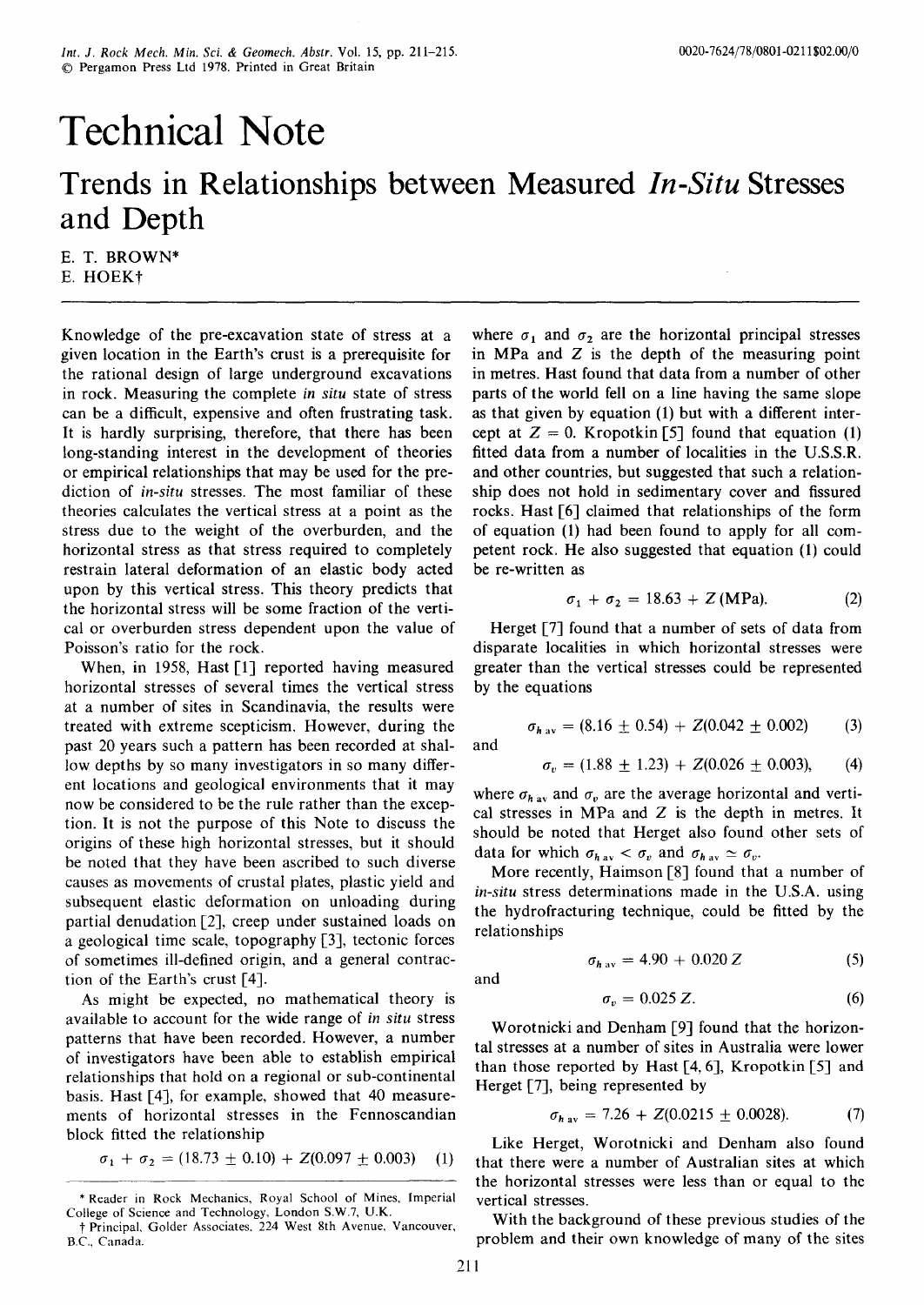# **Technical Note**

# **Trends in Relationships between Measured** *In-Situ* **Stresses and Depth**

E. T. BROWN\* E. HOEKt

Knowledge of the pre-excavation state of stress at a given location in the Earth's crust is a prerequisite for the rational design of large underground excavations in rock. Measuring the complete *in situ* state of stress can be a difficult, expensive and often frustrating task. It is hardly surprising, therefore, that there has been long-standing interest in the development of theories or empirical relationships that may be used for the prediction of *in-situ* stresses. The most familiar of these theories calculates the vertical stress at a point as the stress due to the weight of the overburden, and the horizontal stress as that stress required to completely restrain lateral deformation of an elastic body acted upon by this vertical stress. This theory predicts that the horizontal stress will be some fraction of the vertical or overburden stress dependent upon the value of Poisson's ratio for the rock.

When, in 1958, Hast [1] reported having measured horizontal stresses of several times the vertical stress at a number of sites in Scandinavia, the results were treated with extreme scepticism. However, during the past 20 years such a pattern has been recorded at shallow depths by so many investigators in so many different locations and geological environments that it may now be considered to be the rule rather than the exception. It is not the purpose of this Note to discuss the origins of these high horizontal stresses, but it should be noted that they have been ascribed to such diverse causes as movements of crustal plates, plastic yield and subsequent elastic deformation on unloading during partial denudation [2], creep under sustained loads on a geological time scale, topography [3], tectonic forces of sometimes ill-defined origin, and a general contraction of the Earth's crust [4].

As might be expected, no mathematical theory is available to account for the wide range of *in situ* stress patterns that have been recorded. However, a number of investigators have been able to establish empirical relationships that hold on a regional or sub-continental basis. Hast [4], for example, showed that 40 measurements of horizontal stresses in the Fennoscandian block fitted the relationship

$$
\sigma_1 + \sigma_2 = (18.73 \pm 0.10) + Z(0.097 \pm 0.003) \quad (1)
$$

where  $\sigma_1$  and  $\sigma_2$  are the horizontal principal stresses in MPa and Z is the depth of the measuring point in metres. Hast found that data from a number of other parts of the world fell on a line having the same slope as that given by equation (1) but with a different intercept at  $Z = 0$ . Kropotkin [5] found that equation (1) fitted data from a number of localities in the U.S.S.R. and other countries, but suggested that such a relationship does not hold in sedimentary cover and fissured rocks. Hast [6] claimed that relationships of the form of equation (1) had been found to apply for all competent rock. He also suggested that equation (1) could be re-written as

$$
\sigma_1 + \sigma_2 = 18.63 + Z \text{ (MPa)}.
$$
 (2)

Herget [7] found that a number of sets of data from disparate localities in which horizontal stresses were greater than the vertical stresses could be represented by the equations

$$
\sigma_{h\,\text{av}} = (8.16 \pm 0.54) + Z(0.042 \pm 0.002) \tag{3}
$$

and

$$
\sigma_v = (1.88 \pm 1.23) + Z(0.026 \pm 0.003), \qquad (4)
$$

where  $\sigma_{hav}$  and  $\sigma_v$  are the average horizontal and vertical stresses in MPa and  $Z$  is the depth in metres. It should be noted that Herget also found other sets of data for which  $\sigma_{hav} < \sigma_v$  and  $\sigma_{hav} \simeq \sigma_v$ .

More recently, Haimson [8] found that a number of *in-situ* stress determinations made in the U.S.A. using the hydrofracturing technique, could be fitted by the relationships

$$
\sigma_{h \text{ av}} = 4.90 + 0.020 Z \tag{5}
$$

and

$$
\sigma_v = 0.025 \, Z. \tag{6}
$$

Worotnicki and Denham [9] found that the horizontal stresses at a number of sites in Australia were lower than those reported by Hast [4, 6], Kropotkin [5] and Herget [7], being represented by

$$
\sigma_{h\,\text{av}} = 7.26 + Z(0.0215 \pm 0.0028). \tag{7}
$$

Like Herget, Worotnicki and Denham also found that there were a number of Australian sites at which the horizontal stresses were less than or equal to the vertical stresses.

With the background of these previous studies of the problem and their own knowledge of many of the sites

<sup>\*</sup> Reader in Rock Mechanics, Royal School of Mines, Imperial College of Science and Technology, London S.W.7, U.K.

t Principal, Golder Associates, 224 West 8th Avenue, Vancouver, B.C., Canada.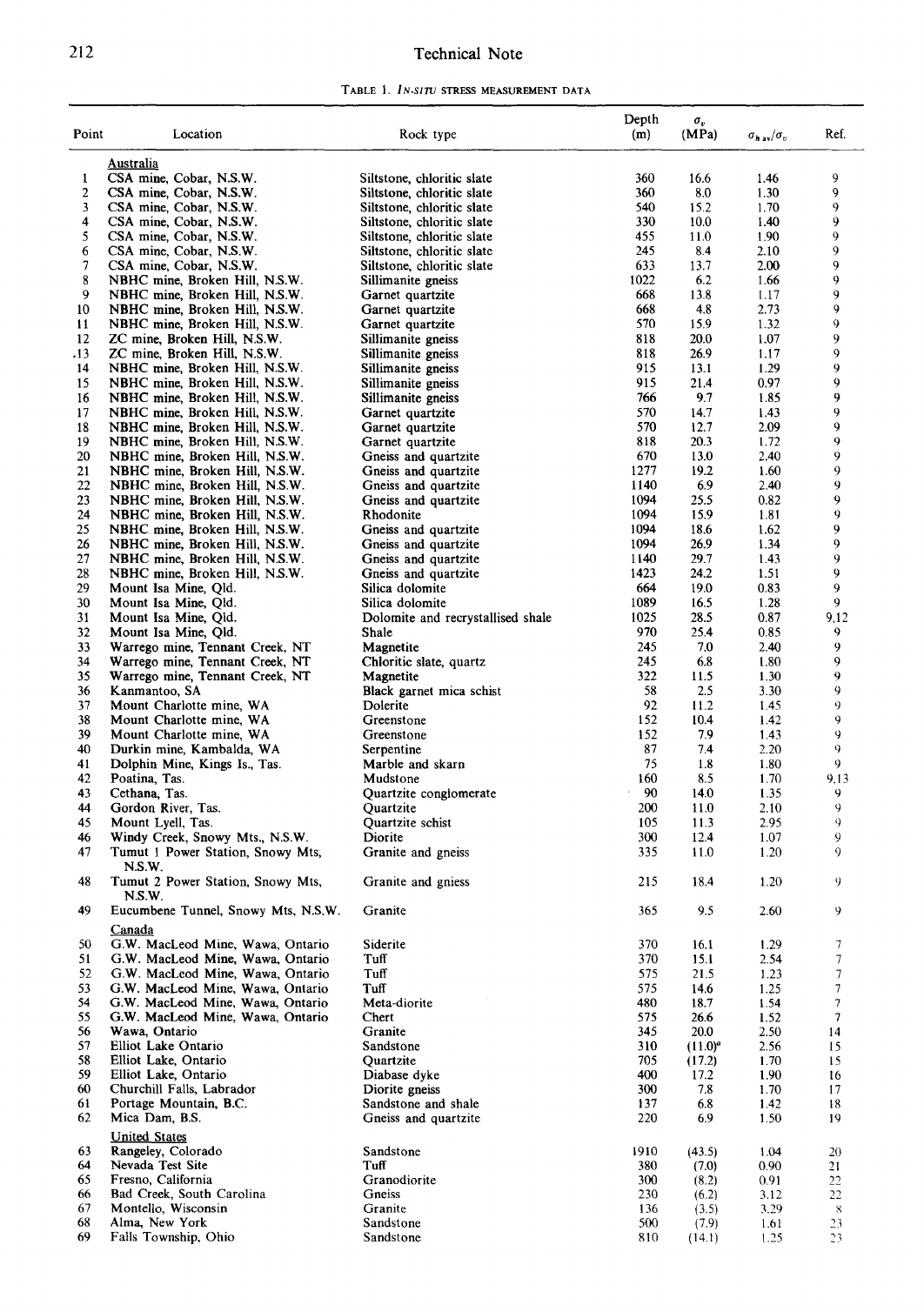## 212 **Technical Note**

**TABLE 1.** *IN-SITU* **STRESS MEASUREMENT DATA** 

|       |                                     |                                   | Depth | $\sigma_v$ |                         |      |
|-------|-------------------------------------|-----------------------------------|-------|------------|-------------------------|------|
| Point | Location                            | Rock type                         | (m)   | (MPa)      | $\sigma_{hav}/\sigma_v$ | Ref. |
|       |                                     |                                   |       |            |                         |      |
|       | Australia                           |                                   |       |            |                         |      |
| 1     | CSA mine, Cobar, N.S.W.             | Siltstone, chloritic slate        | 360   | 16.6       | 1.46                    | 9    |
| 2     | CSA mine, Cobar, N.S.W.             | Siltstone, chloritic slate        | 360   | 8.0        | 1.30                    | 9    |
| 3     | CSA mine, Cobar, N.S.W.             | Siltstone, chloritic slate        | 540   | 15.2       | 1.70                    | 9    |
| 4     | CSA mine, Cobar, N.S.W.             | Siltstone, chloritic slate        | 330   | 10.0       | 1.40                    | 9    |
| 5     | CSA mine, Cobar, N.S.W.             | Siltstone, chloritic slate        | 455   | 11.0       | 1.90                    | 9    |
| 6     | CSA mine, Cobar, N.S.W.             | Siltstone, chloritic slate        | 245   | 8.4        | 2.10                    | 9    |
| 7     | CSA mine, Cobar, N.S.W.             | Siltstone, chloritic slate        | 633   | 13.7       | 2.00                    | 9    |
| 8     | NBHC mine, Broken Hill, N.S.W.      | Sillimanite gneiss                | 1022  | 6.2        | 1.66                    | 9    |
| 9     | NBHC mine, Broken Hill, N.S.W.      | Garnet quartzite                  | 668   | 13.8       | 1.17                    | 9    |
| 10    | NBHC mine, Broken Hill, N.S.W.      | Garnet quartzite                  | 668   | 4.8        | 2.73                    | 9    |
| 11    | NBHC mine, Broken Hill, N.S.W.      | Garnet quartzite                  | 570   | 15.9       | 1.32                    | 9    |
| 12    | ZC mine, Broken Hill, N.S.W.        | Sillimanite gneiss                | 818   | 20.0       | 1.07                    | 9    |
| .13   | ZC mine, Broken Hill, N.S.W.        |                                   | 818   | 26.9       | 1.17                    | 9    |
| 14    |                                     | Sillimanite gneiss                | 915   | 13.1       | 1.29                    | 9    |
|       | NBHC mine, Broken Hill, N.S.W.      | Sillimanite gneiss                | 915   | 21.4       | 0.97                    | 9    |
| 15    | NBHC mine, Broken Hill, N.S.W.      | Sillimanite gneiss                | 766   | 9.7        |                         | 9    |
| 16    | NBHC mine, Broken Hill, N.S.W.      | Sillimanite gneiss                |       |            | 1.85                    | 9    |
| 17    | NBHC mine, Broken Hill, N.S.W.      | Garnet quartzite                  | 570   | 14.7       | 1.43                    |      |
| 18    | NBHC mine, Broken Hill, N.S.W.      | Garnet quartzite                  | 570   | 12.7       | 2.09                    | 9    |
| 19    | NBHC mine, Broken Hill, N.S.W.      | Garnet quartzite                  | 818   | 20.3       | 1.72                    | 9    |
| 20    | NBHC mine, Broken Hill, N.S.W.      | Gneiss and quartzite              | 670   | 13.0       | 2.40                    | 9    |
| 21    | NBHC mine, Broken Hill, N.S.W.      | Gneiss and quartzite              | 1277  | 19.2       | 1.60                    | 9    |
| 22    | NBHC mine, Broken Hill, N.S.W.      | Gneiss and quartzite              | 1140  | 6.9        | 2.40                    | 9    |
| 23    | NBHC mine, Broken Hill, N.S.W.      | Gneiss and quartzite              | 1094  | 25.5       | 0.82                    | 9    |
| 24    | NBHC mine, Broken Hill, N.S.W.      | Rhodonite                         | 1094  | 15.9       | 1.81                    | 9    |
| 25    | NBHC mine, Broken Hill, N.S.W.      | Gneiss and quartzite              | 1094  | 18.6       | 1.62                    | 9    |
| 26    | NBHC mine, Broken Hill, N.S.W.      | Gneiss and quartzite              | 1094  | 26.9       | 1.34                    | 9    |
| 27    | NBHC mine, Broken Hill, N.S.W.      | Gneiss and quartzite              | 1140  | 29.7       | 1.43                    | 9    |
| 28    | NBHC mine, Broken Hill, N.S.W.      | Gneiss and quartzite              | 1423  | 24.2       | 1.51                    | 9    |
| 29    | Mount Isa Mine, Qld.                | Silica dolomite                   | 664   | 19.0       | 0.83                    | 9    |
| 30    | Mount Isa Mine, Qld.                | Silica dolomite                   | 1089  | 16.5       | 1.28                    | 9    |
| 31    | Mount Isa Mine, Qld.                | Dolomite and recrystallised shale | 1025  | 28.5       | 0.87                    | 9,12 |
| 32    | Mount Isa Mine, Qld.                | Shale                             | 970   | 25.4       | 0.85                    | 9    |
| 33    | Warrego mine, Tennant Creek, NT     | Magnetite                         | 245   | 7.0        | 2.40                    | 9    |
| 34    | Warrego mine, Tennant Creek, NT     | Chloritic slate, quartz           | 245   | 6.8        | 1.80                    | 9    |
| 35    | Warrego mine, Tennant Creek, NT     | Magnetite                         | 322   | 11.5       | 1.30                    | 9    |
| 36    | Kanmantoo, SA                       | Black garnet mica schist          | 58    | 2.5        | 3.30                    | 9    |
| 37    | Mount Charlotte mine, WA            | Dolerite                          | 92    | 11.2       | 1.45                    | 9    |
| 38    | Mount Charlotte mine, WA            | Greenstone                        | 152   | 10.4       | 1.42                    | 9    |
| 39    | Mount Charlotte mine, WA            | Greenstone                        | 152   | 7.9        | 1.43                    | 9    |
| 40    | Durkin mine, Kambalda, WA           | Serpentine                        | 87    | 7.4        | 2.20                    | 9    |
| 41    | Dolphin Mine, Kings Is., Tas.       | Marble and skarn                  | 75    | 1.8        | 1.80                    | 9    |
| 42    | Poatina, Tas.                       | Mudstone                          | 160   | 8.5        | 1.70                    | 9,13 |
| 43    | Cethana, Tas.                       | Quartzite conglomerate            | 90    | 14.0       | 1.35                    | 9    |
| 44    | Gordon River, Tas.                  | Quartzite                         | 200   | 11.0       | 2.10                    | 9    |
| 45    | Mount Lyell, Tas.                   | <b>Ouartzite</b> schist           | 105   | 11.3       | 2.95                    | 9    |
| 46    | Windy Creek, Snowy Mts., N.S.W.     | Diorite                           | 300   | 12.4       | 1.07                    | 9    |
| 47    | Tumut 1 Power Station, Snowy Mts,   | Granite and gneiss                | 335   | 11.0       | 1.20                    | 9    |
|       | N.S.W.                              |                                   |       |            |                         |      |
| 48    | Tumut 2 Power Station, Snowy Mts.   | Granite and gniess                | 215   | 18.4       | 1.20                    | 9    |
|       | N.S.W.                              |                                   |       |            |                         |      |
| 49    | Eucumbene Tunnel, Snowy Mts, N.S.W. | Granite                           |       | 9.5        | 2.60                    |      |
|       |                                     |                                   | 365   |            |                         | 9    |
|       | Canada                              |                                   |       |            |                         |      |
| 50    | G.W. MacLeod Mine, Wawa, Ontario    | Siderite                          | 370   | 16.1       | 1.29                    | 7    |
| 51    | G.W. MacLeod Mine, Wawa, Ontario    | Tuff                              | 370   | 15.1       | 2.54                    | 7    |
| 52    | G.W. MacLeod Mine, Wawa, Ontario    | Tuff                              | 575   | 21.5       | 1.23                    | 7    |
| 53    | G.W. MacLeod Mine, Wawa, Ontario    | Tuff                              | 575   | 14.6       | 1.25                    | 7    |
| 54    | G.W. MacLeod Mine, Wawa, Ontario    | Meta-diorite                      | 480   | 18.7       | 1.54                    | 7    |
| 55    | G.W. MacLeod Mine, Wawa, Ontario    | Chert                             | 575   | 26.6       | 1.52                    | 7    |
| 56    | Wawa, Ontario                       | Granite                           | 345   | 20.0       | 2.50                    | 14   |
| 57    | Elliot Lake Ontario                 | Sandstone                         | 310   | $(11.0)^a$ | 2.56                    | 15   |
| 58    | Elliot Lake, Ontario                | Quartzite                         | 705   | (17.2)     | 1.70                    | 15   |
| 59    | Elliot Lake, Ontario                | Diabase dyke                      | 400   | 17.2       | 1.90                    | 16   |
| 60    | Churchill Falls, Labrador           | Diorite gneiss                    | 300   | 7.8        | 1.70                    | 17   |
| 61    | Portage Mountain, B.C.              | Sandstone and shale               | 137   | 6.8        | 1.42                    | 18   |
| 62    | Mica Dam, B.S.                      | Gneiss and quartzite              | 220   | 6.9        | 1.50                    | 19   |
|       | <b>United States</b>                |                                   |       |            |                         |      |
| 63    | Rangeley, Colorado                  | Sandstone                         | 1910  | (43.5)     | 1.04                    | 20   |
| 64    | Nevada Test Site                    | Tuff                              | 380   | (7.0)      | 0.90                    | 21   |
| 65    | Fresno, California                  | Granodiorite                      | 300   | (8.2)      | 0.91                    | 22   |
| 66    | Bad Creek, South Carolina           | Gneiss                            | 230   | (6.2)      | 3.12                    | 22   |
| 67    | Montello, Wisconsin                 | Granite                           | 136   | (3.5)      | 3.29                    | 8    |
| 68    | Alma, New York                      | Sandstone                         | 500   | (7.9)      | 1.61                    | 23   |
| 69    | Falls Township, Ohio                | Sandstone                         | 810   | (14.1)     | 1.25                    | 23   |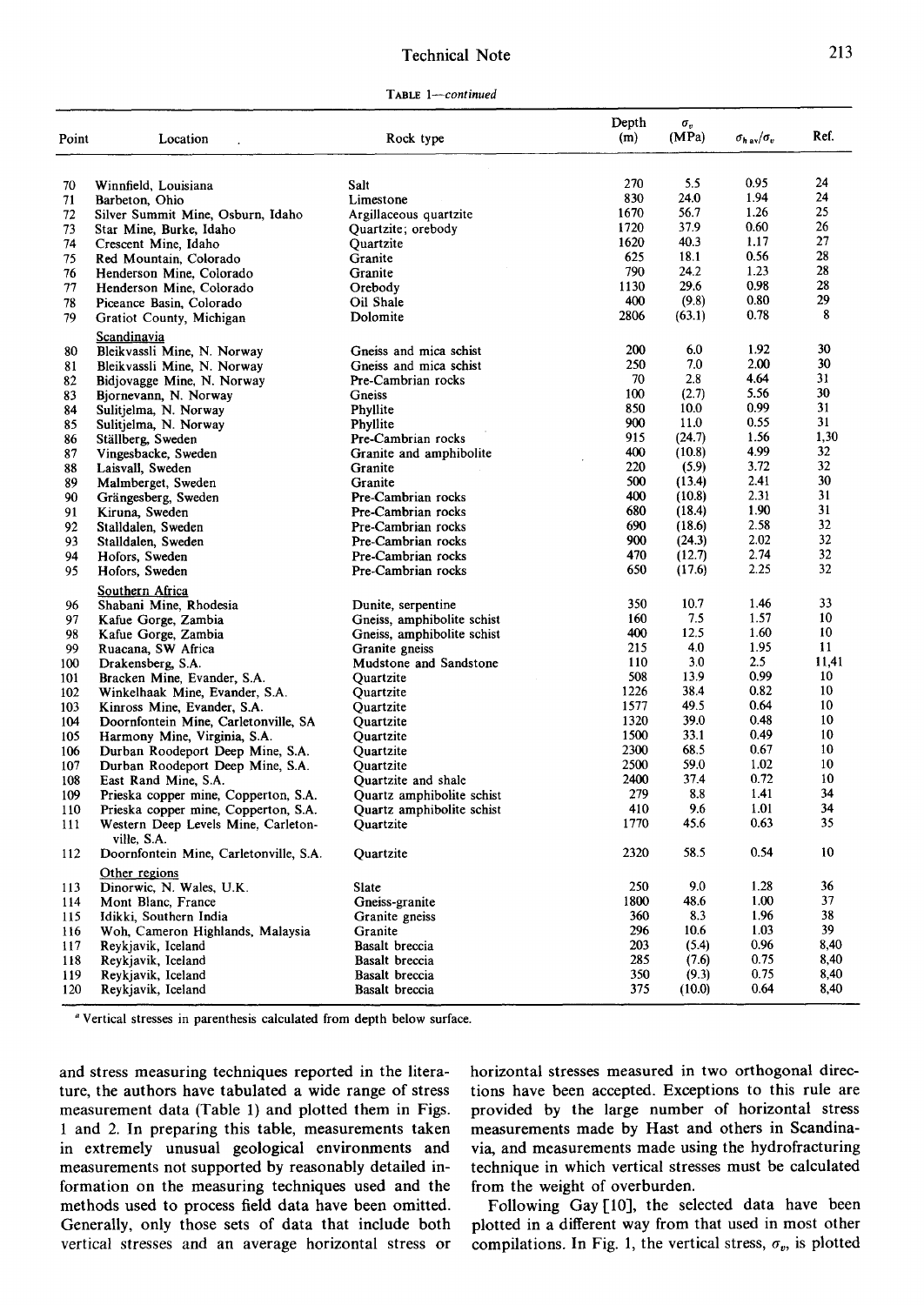### Technical Note

| Point | Location                                              | Rock type                  | Depth<br>(m) | $\sigma_v$<br>(MPa) | $\sigma_{h\,av}/\sigma_v$ | Ref.         |
|-------|-------------------------------------------------------|----------------------------|--------------|---------------------|---------------------------|--------------|
|       |                                                       |                            |              |                     |                           |              |
| 70    | Winnfield, Louisiana                                  | Salt                       | 270          | 5.5                 | 0.95                      | 24           |
| 71    | Barbeton, Ohio                                        | Limestone                  | 830          | 24.0                | 1.94                      | 24           |
| 72    | Silver Summit Mine, Osburn, Idaho                     | Argillaceous quartzite     | 1670         | 56.7                | 1.26                      | 25           |
| 73    | Star Mine, Burke, Idaho                               | Quartzite; orebody         | 1720         | 37.9                | 0.60                      | 26           |
| 74    | Crescent Mine, Idaho                                  | Quartzite                  | 1620         | 40.3                | 1.17                      | 27           |
| 75    | Red Mountain, Colorado                                | Granite                    | 625          | 18.1                | 0.56                      | 28           |
| 76    | Henderson Mine, Colorado                              | Granite                    | 790          | 24.2                | 1.23                      | 28           |
| 77    | Henderson Mine, Colorado                              | Orebody                    | 1130         | 29.6                | 0.98                      | 28           |
| 78    | Piceance Basin, Colorado                              | Oil Shale                  | 400          | (9.8)               | 0.80                      | 29           |
| 79    | Gratiot County, Michigan<br><b>Scandinavia</b>        | Dolomite                   | 2806         | (63.1)              | 0.78                      | 8            |
| 80    | Bleikvassli Mine, N. Norway                           | Gneiss and mica schist     | 200          | 6.0                 | 1.92                      | 30           |
| 81    | Bleikvassli Mine, N. Norway                           | Gneiss and mica schist     | 250          | 7.0                 | 2.00                      | 30           |
| 82    | Bidjovagge Mine, N. Norway                            | Pre-Cambrian rocks         | 70           | 2.8                 | 4.64                      | 31           |
| 83    | Bjornevann, N. Norway                                 | Gneiss                     | 100          | (2.7)               | 5.56                      | 30           |
| 84    | Sulitjelma, N. Norway                                 | Phyllite                   | 850          | 10.0                | 0.99                      | 31           |
| 85    | Sulitjelma, N. Norway                                 | Phyllite                   | 900          | 11.0                | 0.55                      | 31           |
| 86    | Ställberg, Sweden                                     | Pre-Cambrian rocks         | 915          | (24.7)              | 1.56                      | 1,30         |
| 87    | Vingesbacke, Sweden                                   | Granite and amphibolite    | 400          | (10.8)              | 4.99                      | 32           |
| 88    | Laisvall, Sweden                                      | Granite                    | 220          | (5.9)               | 3.72                      | 32           |
| 89    | Malmberget, Sweden                                    | Granite                    | 500          | (13.4)              | 2.41                      | 30           |
| 90    | Grängesberg, Sweden                                   | Pre-Cambrian rocks         | 400          | (10.8)              | 2.31                      | 31           |
| 91    | Kiruna, Sweden                                        | Pre-Cambrian rocks         | 680          | (18.4)              | 1.90                      | 31           |
| 92    | Stalldalen, Sweden                                    | Pre-Cambrian rocks         | 690          | (18.6)              | 2.58                      | 32           |
| 93    | Stalldalen, Sweden                                    | Pre-Cambrian rocks         | 900          | (24.3)              | 2.02                      | 32           |
| 94    | Hofors, Sweden                                        | Pre-Cambrian rocks         | 470          | (12.7)              | 2.74                      | 32           |
| 95    | Hofors, Sweden                                        | Pre-Cambrian rocks         | 650          | (17.6)              | 2.25                      | 32           |
|       | Southern Africa                                       |                            |              |                     |                           |              |
| 96    | Shabani Mine, Rhodesia                                | Dunite, serpentine         | 350          | 10.7                | 1.46                      | 33           |
| 97    | Kafue Gorge, Zambia                                   | Gneiss, amphibolite schist | 160          | 7.5                 | 1.57                      | 10           |
| 98    | Kafue Gorge, Zambia                                   | Gneiss, amphibolite schist | 400          | 12.5                | 1.60                      | 10           |
| 99    | Ruacana, SW Africa                                    | Granite gneiss             | 215          | 4.0                 | 1.95                      | 11           |
| 100   | Drakensberg, S.A.                                     | Mudstone and Sandstone     | 110          | 3.0                 | 2.5                       | 11,41        |
| 101   | Bracken Mine, Evander, S.A.                           | Quartzite                  | 508          | 13.9                | 0.99                      | 10           |
| 102   | Winkelhaak Mine, Evander, S.A.                        | Quartzite                  | 1226         | 38.4                | 0.82                      | 10           |
| 103   | Kinross Mine, Evander, S.A.                           | Quartzite                  | 1577         | 49.5                | 0.64                      | 10           |
| 104   | Doornfontein Mine, Carletonville, SA                  | Quartzite                  | 1320         | 39.0                | 0.48                      | 10           |
| 105   | Harmony Mine, Virginia, S.A.                          | Quartzite                  | 1500         | 33.1                | 0.49                      | 10           |
| 106   | Durban Roodeport Deep Mine, S.A.                      | Quartzite                  | 2300         | 68.5                | 0.67                      | 10           |
| 107   | Durban Roodeport Deep Mine, S.A.                      | Ouartzite                  | 2500         | 59.0                | 1.02                      | 10           |
| 108   | East Rand Mine, S.A.                                  | Quartzite and shale        | 2400         | 37.4                | 0.72                      | 10           |
| 109   | Prieska copper mine, Copperton, S.A.                  | Quartz amphibolite schist  | 279          | 8.8                 | 1.41                      | 34           |
| 110   | Prieska copper mine, Copperton, S.A.                  | Quartz amphibolite schist  | 410          | 9.6                 | 1.01                      | 34           |
| 111   | Western Deep Levels Mine, Carleton-                   | Quartzite                  | 1770         | 45.6                | 0.63                      | 35           |
| 112   | ville, S.A.<br>Doornfontein Mine, Carletonville, S.A. | Quartzite                  | 2320         | 58.5                | 0.54                      | 10           |
|       | Other regions                                         |                            | 250          | 9.0                 | 1.28                      | 36           |
| 113   | Dinorwic, N. Wales, U.K.                              | Slate<br>Gneiss-granite    | 1800         | 48.6                | 1.00                      | 37           |
| 114   | Mont Blanc, France                                    |                            |              |                     | 1.96                      | 38           |
| 115   | Idikki, Southern India                                | Granite gneiss             | 360<br>296   | 8.3<br>10.6         | 1.03                      | 39           |
| 116   | Woh, Cameron Highlands, Malaysia                      | Granite                    |              |                     |                           |              |
| 117   | Reykjavik, Iceland                                    | Basalt breccia             | 203          | (5.4)               | 0.96                      | 8,40         |
| 118   | Reykjavik, Iceland                                    | Basalt breccia             | 285          | (7.6)               | 0.75                      | 8,40         |
| 119   | Reykjavik, Iceland                                    | Basalt breccia             | 350<br>375   | (9.3)               | 0.75<br>0.64              | 8,40<br>8,40 |
| 120   | Reykjavik, Iceland                                    | <b>Basalt</b> breccia      |              | (10.0)              |                           |              |

Vertical stresses in parenthesis calculated from depth below surface.

and stress measuring techniques reported in the literature, the authors have tabulated a wide range of stress measurement data (Table 1) and plotted them in Figs. 1 and 2. In preparing this table, measurements taken in extremely unusual geological environments and measurements not supported by reasonably detailed information on the measuring techniques used and the methods used to process field data have been omitted. Generally, only those sets of data that include both vertical stresses and an average horizontal stress or horizontal stresses measured in two orthogonal directions have been accepted. Exceptions to this rule are provided by the large number of horizontal stress measurements made by Hast and others in Scandinavia, and measurements made using the hydrofracturing technique in which vertical stresses must be calculated from the weight of overburden.

Following Gay [10], the selected data have been plotted in a different way from that used in most other compilations. In Fig. 1, the vertical stress,  $\sigma_v$ , is plotted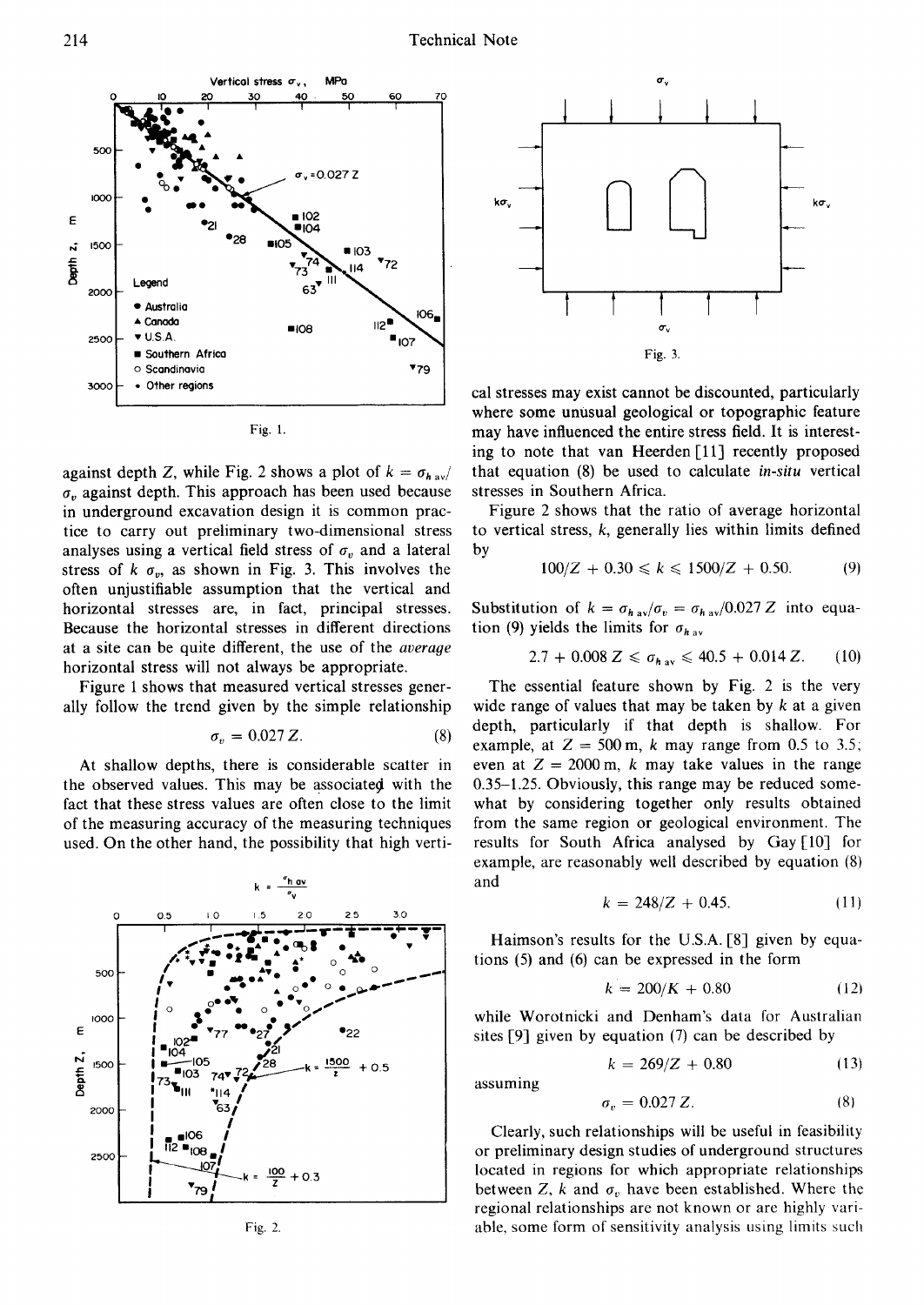



against depth Z, while Fig. 2 shows a plot of  $k = \sigma_{hav}$  $\sigma$ , against depth. This approach has been used because in underground excavation design it is common practice to carry out preliminary two-dimensional stress analyses using a vertical field stress of  $\sigma_v$  and a lateral stress of  $k \sigma_{v}$ , as shown in Fig. 3. This involves the often unjustifiable assumption that the vertical and horizontal stresses are, in fact, principal stresses. Because the horizontal stresses in different directions at a site can be quite different, the use of the *average* horizontal stress will not always be appropriate.

Figure 1 shows that measured vertical stresses generally follow the trend given by the simple relationship

$$
\sigma_v = 0.027 Z. \tag{8}
$$

At shallow depths, there is considerable scatter in the observed values. This may be associated with the fact that these stress values are often close to the limit of the measuring accuracy of the measuring techniques used. On the other hand, the possibility that high verti-



Fig. 2.



cal stresses may exist cannot be discounted, particularly where some unusual geological or topographic feature may have influenced the entire stress field. It is interesting to note that van Heerden [11] recently proposed that equation (8) be used to calculate *in-situ* vertical stresses in Southern Africa.

Figure 2 shows that the ratio of average horizontal to vertical stress,  $k$ , generally lies within limits defined by

$$
100/Z + 0.30 \le k \le 1500/Z + 0.50. \tag{9}
$$

Substitution of  $k = \sigma_{hav}/\sigma_v = \sigma_{hav}/0.027 Z$  into equation (9) yields the limits for  $\sigma_{hav}$ 

$$
2.7 + 0.008 Z \le \sigma_{h\text{ av}} \le 40.5 + 0.014 Z. \qquad (10)
$$

The essential feature shown by Fig. 2 is the very wide range of values that may be taken by  $k$  at a given depth, particularly if that depth is shallow. For example, at  $Z = 500$  m, k may range from 0.5 to 3.5; even at  $Z = 2000$  m, k may take values in the range  $0.35-1.25$ . Obviously, this range may be reduced somewhat by considering together only results obtained from the same region or geological environment. The results for South Africa analysed by Gay [10] for example, are reasonably well described by equation (8) and

$$
k = 248/Z + 0.45. \tag{11}
$$

Haimson's results for the U.S.A. [8] given by equations  $(5)$  and  $(6)$  can be expressed in the form

$$
k = 200/K + 0.80\tag{12}
$$

while Worotnicki and Denham's data for Australian sites  $[9]$  given by equation (7) can be described by

assuming

$$
k = 269/Z + 0.80 \tag{13}
$$

$$
\sigma_{\nu} = 0.027 Z. \tag{8}
$$

Clearly, such relationships will be useful in feasibility or preliminary design studies of underground structures located in regions for which appropriate relationships between Z, k and  $\sigma_v$  have been established. Where the regional relationships are not known or are highly variable, some form of sensitivity analysis using limits such